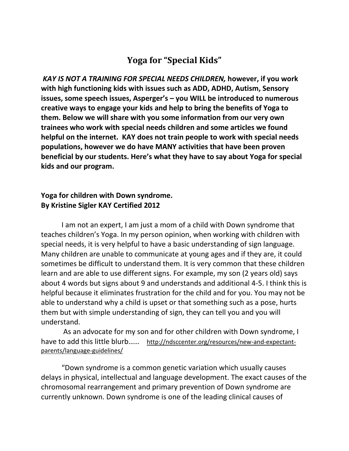## **Yoga for "Special Kids"**

*KAY IS NOT A TRAINING FOR SPECIAL NEEDS CHILDREN,* **however, if you work with high functioning kids with issues such as ADD, ADHD, Autism, Sensory issues, some speech issues, Asperger's – you WILL be introduced to numerous creative ways to engage your kids and help to bring the benefits of Yoga to them. Below we will share with you some information from our very own trainees who work with special needs children and some articles we found helpful on the internet. KAY does not train people to work with special needs populations, however we do have MANY activities that have been proven beneficial by our students. Here's what they have to say about Yoga for special kids and our program.** 

## **Yoga for children with Down syndrome. By Kristine Sigler KAY Certified 2012**

I am not an expert, I am just a mom of a child with Down syndrome that teaches children's Yoga. In my person opinion, when working with children with special needs, it is very helpful to have a basic understanding of sign language. Many children are unable to communicate at young ages and if they are, it could sometimes be difficult to understand them. It is very common that these children learn and are able to use different signs. For example, my son (2 years old) says about 4 words but signs about 9 and understands and additional 4-5. I think this is helpful because it eliminates frustration for the child and for you. You may not be able to understand why a child is upset or that something such as a pose, hurts them but with simple understanding of sign, they can tell you and you will understand.

As an advocate for my son and for other children with Down syndrome, I have to add this little blurb…… [http://ndsccenter.org/resources/new-and-expectant](http://ndsccenter.org/resources/new-and-expectant-parents/language-guidelines/)[parents/language-guidelines/](http://ndsccenter.org/resources/new-and-expectant-parents/language-guidelines/)

"Down syndrome is a common genetic variation which usually causes delays in physical, intellectual and language development. The exact causes of the chromosomal rearrangement and primary prevention of Down syndrome are currently unknown. Down syndrome is one of the leading clinical causes of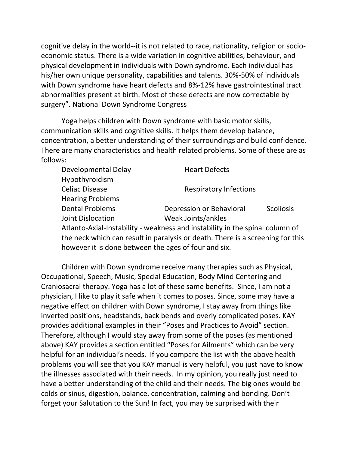cognitive delay in the world--it is not related to race, nationality, religion or socioeconomic status. There is a wide variation in cognitive abilities, behaviour, and physical development in individuals with Down syndrome. Each individual has his/her own unique personality, capabilities and talents. 30%-50% of individuals with Down syndrome have heart defects and 8%-12% have gastrointestinal tract abnormalities present at birth. Most of these defects are now correctable by surgery". National Down Syndrome Congress

Yoga helps children with Down syndrome with basic motor skills, communication skills and cognitive skills. It helps them develop balance, concentration, a better understanding of their surroundings and build confidence. There are many characteristics and health related problems. Some of these are as follows:

| Developmental Delay                                                           | <b>Heart Defects</b>          |                  |
|-------------------------------------------------------------------------------|-------------------------------|------------------|
| Hypothyroidism                                                                |                               |                  |
| <b>Celiac Disease</b>                                                         | <b>Respiratory Infections</b> |                  |
| <b>Hearing Problems</b>                                                       |                               |                  |
| <b>Dental Problems</b>                                                        | Depression or Behavioral      | <b>Scoliosis</b> |
| Joint Dislocation                                                             | Weak Joints/ankles            |                  |
| Atlanto-Axial-Instability - weakness and instability in the spinal column of  |                               |                  |
| the neck which can recult in paralycic or doath. There is a screening for thi |                               |                  |

the neck which can result in paralysis or death. There is a screening for this however it is done between the ages of four and six.

Children with Down syndrome receive many therapies such as Physical, Occupational, Speech, Music, Special Education, Body Mind Centering and Craniosacral therapy. Yoga has a lot of these same benefits. Since, I am not a physician, I like to play it safe when it comes to poses. Since, some may have a negative effect on children with Down syndrome, I stay away from things like inverted positions, headstands, back bends and overly complicated poses. KAY provides additional examples in their "Poses and Practices to Avoid" section. Therefore, although I would stay away from some of the poses (as mentioned above) KAY provides a section entitled "Poses for Ailments" which can be very helpful for an individual's needs. If you compare the list with the above health problems you will see that you KAY manual is very helpful, you just have to know the illnesses associated with their needs. In my opinion, you really just need to have a better understanding of the child and their needs. The big ones would be colds or sinus, digestion, balance, concentration, calming and bonding. Don't forget your Salutation to the Sun! In fact, you may be surprised with their